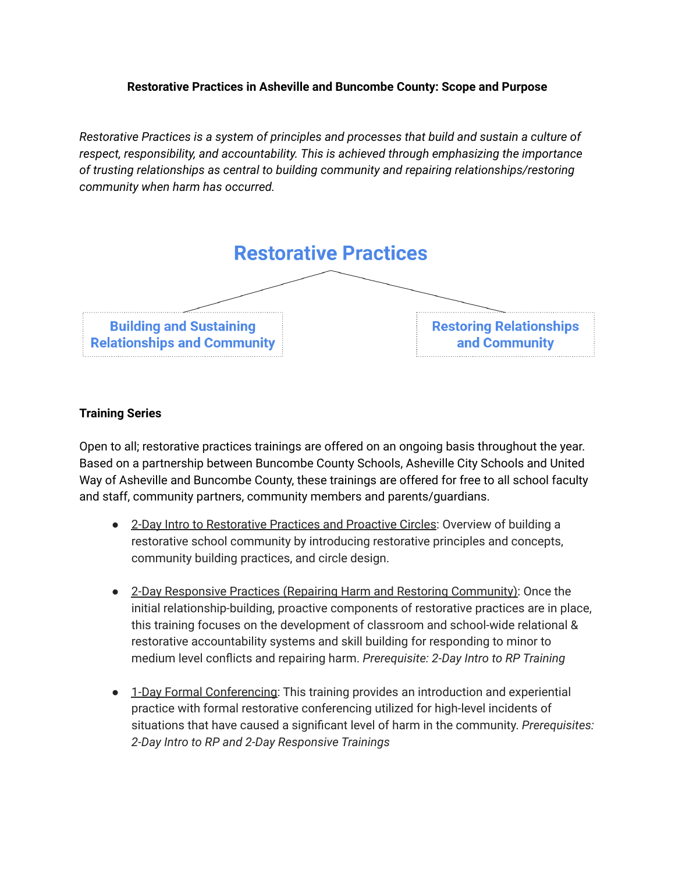#### **Restorative Practices in Asheville and Buncombe County: Scope and Purpose**

*Restorative Practices is a system of principles and processes that build and sustain a culture of respect, responsibility, and accountability. This is achieved through emphasizing the importance of trusting relationships as central to building community and repairing relationships/restoring community when harm has occurred.*



#### **Training Series**

Open to all; restorative practices trainings are offered on an ongoing basis throughout the year. Based on a partnership between Buncombe County Schools, Asheville City Schools and United Way of Asheville and Buncombe County, these trainings are offered for free to all school faculty and staff, community partners, community members and parents/guardians.

- 2-Day Intro to Restorative Practices and Proactive Circles: Overview of building a restorative school community by introducing restorative principles and concepts, community building practices, and circle design.
- 2-Day Responsive Practices (Repairing Harm and Restoring Community): Once the initial relationship-building, proactive components of restorative practices are in place, this training focuses on the development of classroom and school-wide relational & restorative accountability systems and skill building for responding to minor to medium level conflicts and repairing harm. *Prerequisite: 2-Day Intro to RP Training*
- 1-Day Formal Conferencing: This training provides an introduction and experiential practice with formal restorative conferencing utilized for high-level incidents of situations that have caused a significant level of harm in the community. *Prerequisites: 2-Day Intro to RP and 2-Day Responsive Trainings*